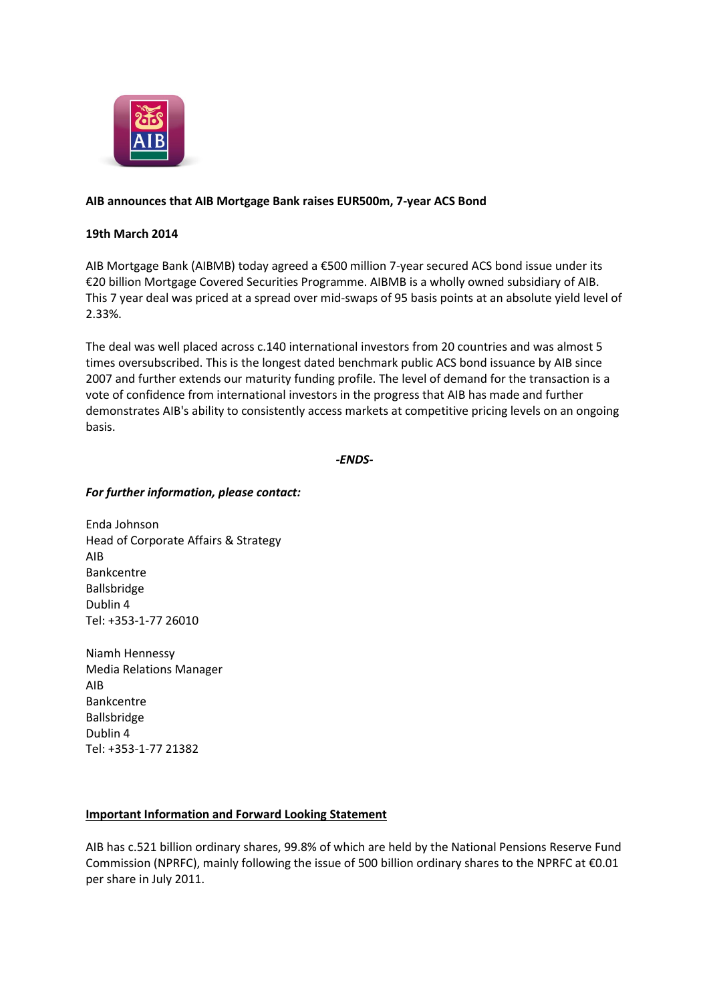

## **AIB announces that AIB Mortgage Bank raises EUR500m, 7-year ACS Bond**

## **19th March 2014**

AIB Mortgage Bank (AIBMB) today agreed a €500 million 7-year secured ACS bond issue under its €20 billion Mortgage Covered Securities Programme. AIBMB is a wholly owned subsidiary of AIB. This 7 year deal was priced at a spread over mid-swaps of 95 basis points at an absolute yield level of 2.33%.

The deal was well placed across c.140 international investors from 20 countries and was almost 5 times oversubscribed. This is the longest dated benchmark public ACS bond issuance by AIB since 2007 and further extends our maturity funding profile. The level of demand for the transaction is a vote of confidence from international investors in the progress that AIB has made and further demonstrates AIB's ability to consistently access markets at competitive pricing levels on an ongoing basis.

*-ENDS-*

## *For further information, please contact:*

Enda Johnson Head of Corporate Affairs & Strategy AIB Bankcentre Ballsbridge Dublin 4 Tel: +353-1-77 26010

Niamh Hennessy Media Relations Manager AIB Bankcentre Ballsbridge Dublin 4 Tel: +353-1-77 21382

## **Important Information and Forward Looking Statement**

AIB has c.521 billion ordinary shares, 99.8% of which are held by the National Pensions Reserve Fund Commission (NPRFC), mainly following the issue of 500 billion ordinary shares to the NPRFC at €0.01 per share in July 2011.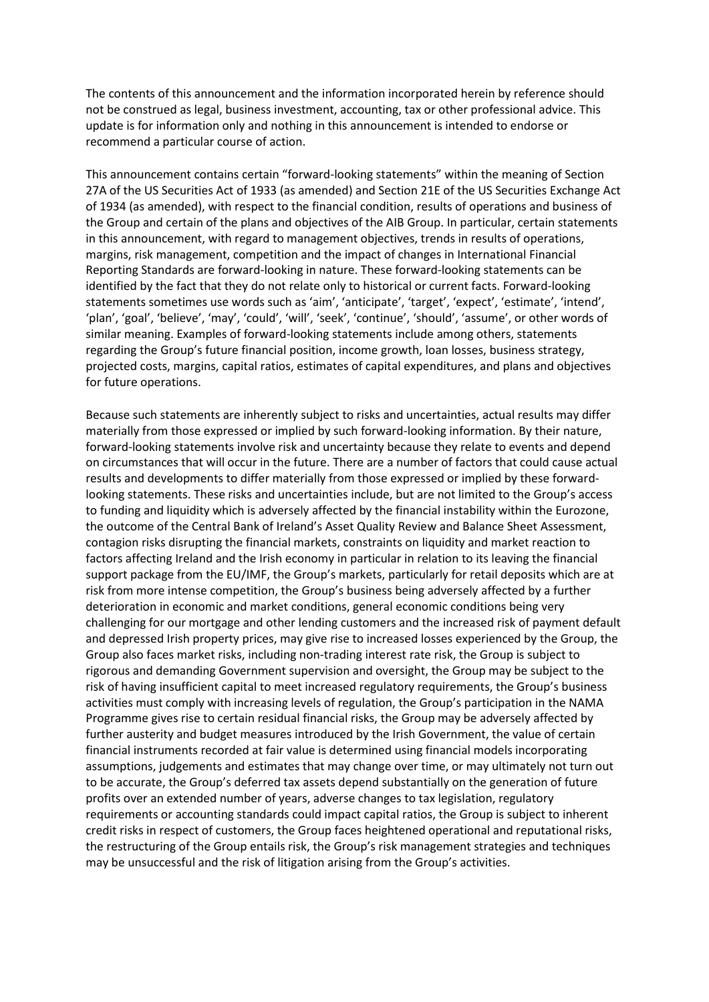The contents of this announcement and the information incorporated herein by reference should not be construed as legal, business investment, accounting, tax or other professional advice. This update is for information only and nothing in this announcement is intended to endorse or recommend a particular course of action.

This announcement contains certain "forward-looking statements" within the meaning of Section 27A of the US Securities Act of 1933 (as amended) and Section 21E of the US Securities Exchange Act of 1934 (as amended), with respect to the financial condition, results of operations and business of the Group and certain of the plans and objectives of the AIB Group. In particular, certain statements in this announcement, with regard to management objectives, trends in results of operations, margins, risk management, competition and the impact of changes in International Financial Reporting Standards are forward-looking in nature. These forward-looking statements can be identified by the fact that they do not relate only to historical or current facts. Forward-looking statements sometimes use words such as 'aim', 'anticipate', 'target', 'expect', 'estimate', 'intend', 'plan', 'goal', 'believe', 'may', 'could', 'will', 'seek', 'continue', 'should', 'assume', or other words of similar meaning. Examples of forward-looking statements include among others, statements regarding the Group's future financial position, income growth, loan losses, business strategy, projected costs, margins, capital ratios, estimates of capital expenditures, and plans and objectives for future operations.

Because such statements are inherently subject to risks and uncertainties, actual results may differ materially from those expressed or implied by such forward-looking information. By their nature, forward-looking statements involve risk and uncertainty because they relate to events and depend on circumstances that will occur in the future. There are a number of factors that could cause actual results and developments to differ materially from those expressed or implied by these forwardlooking statements. These risks and uncertainties include, but are not limited to the Group's access to funding and liquidity which is adversely affected by the financial instability within the Eurozone, the outcome of the Central Bank of Ireland's Asset Quality Review and Balance Sheet Assessment, contagion risks disrupting the financial markets, constraints on liquidity and market reaction to factors affecting Ireland and the Irish economy in particular in relation to its leaving the financial support package from the EU/IMF, the Group's markets, particularly for retail deposits which are at risk from more intense competition, the Group's business being adversely affected by a further deterioration in economic and market conditions, general economic conditions being very challenging for our mortgage and other lending customers and the increased risk of payment default and depressed Irish property prices, may give rise to increased losses experienced by the Group, the Group also faces market risks, including non-trading interest rate risk, the Group is subject to rigorous and demanding Government supervision and oversight, the Group may be subject to the risk of having insufficient capital to meet increased regulatory requirements, the Group's business activities must comply with increasing levels of regulation, the Group's participation in the NAMA Programme gives rise to certain residual financial risks, the Group may be adversely affected by further austerity and budget measures introduced by the Irish Government, the value of certain financial instruments recorded at fair value is determined using financial models incorporating assumptions, judgements and estimates that may change over time, or may ultimately not turn out to be accurate, the Group's deferred tax assets depend substantially on the generation of future profits over an extended number of years, adverse changes to tax legislation, regulatory requirements or accounting standards could impact capital ratios, the Group is subject to inherent credit risks in respect of customers, the Group faces heightened operational and reputational risks, the restructuring of the Group entails risk, the Group's risk management strategies and techniques may be unsuccessful and the risk of litigation arising from the Group's activities.